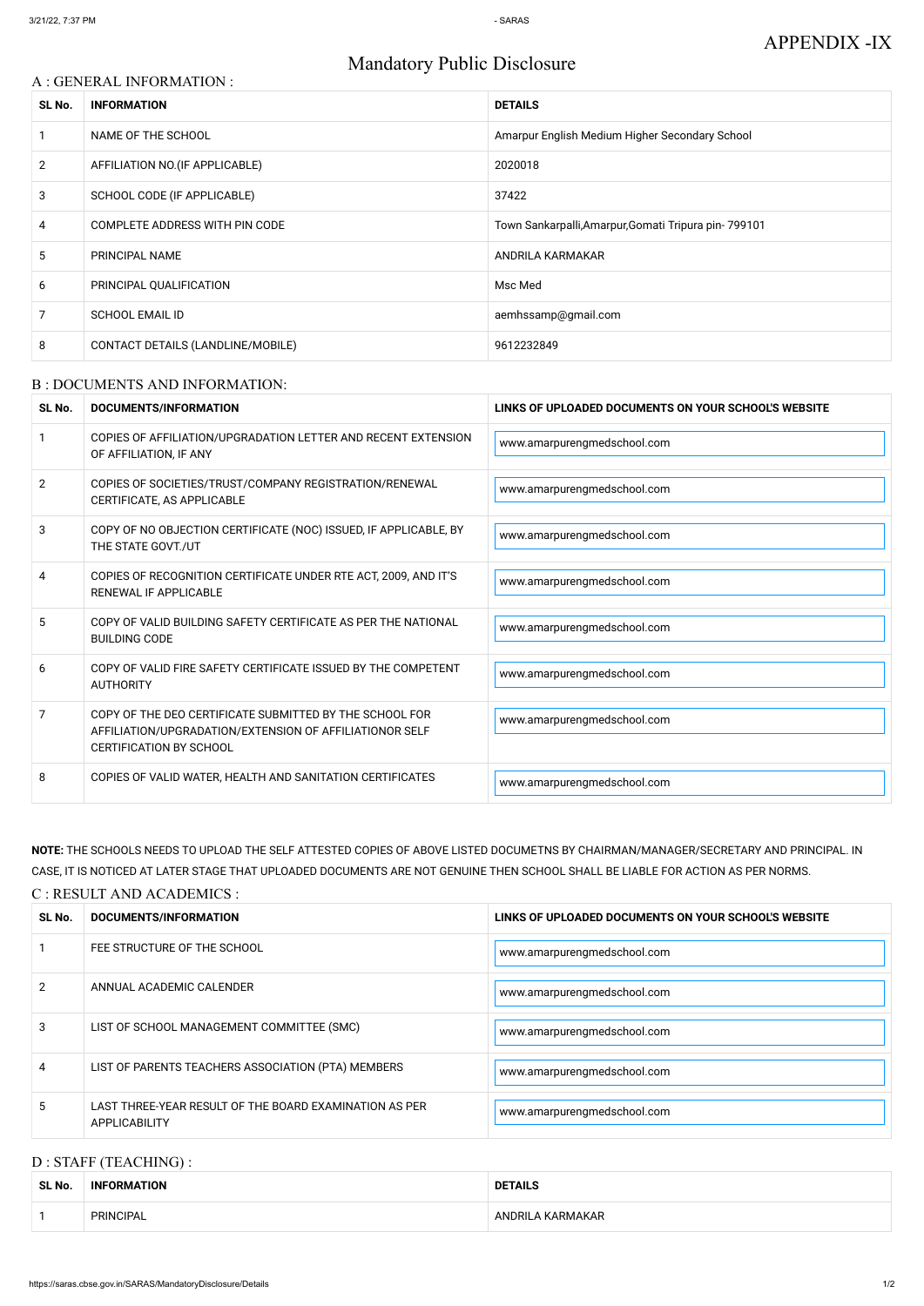# Mandatory Public Disclosure

# A : GENERAL INFORMATION :

| SL No.         | <b>INFORMATION</b>                | <b>DETAILS</b>                                       |  |
|----------------|-----------------------------------|------------------------------------------------------|--|
|                | NAME OF THE SCHOOL                | Amarpur English Medium Higher Secondary School       |  |
| $\overline{2}$ | AFFILIATION NO. (IF APPLICABLE)   | 2020018                                              |  |
| 3              | SCHOOL CODE (IF APPLICABLE)       | 37422                                                |  |
| 4              | COMPLETE ADDRESS WITH PIN CODE    | Town Sankarpalli, Amarpur, Gomati Tripura pin-799101 |  |
| 5              | PRINCIPAL NAME                    | ANDRILA KARMAKAR                                     |  |
| 6              | PRINCIPAL QUALIFICATION           | Msc Med                                              |  |
| 7              | <b>SCHOOL EMAIL ID</b>            | aemhssamp@gmail.com                                  |  |
| 8              | CONTACT DETAILS (LANDLINE/MOBILE) | 9612232849                                           |  |

### B : DOCUMENTS AND INFORMATION:

| SL No.         | <b>DOCUMENTS/INFORMATION</b>                                                                                                                         | LINKS OF UPLOADED DOCUMENTS ON YOUR SCHOOL'S WEBSITE |  |
|----------------|------------------------------------------------------------------------------------------------------------------------------------------------------|------------------------------------------------------|--|
|                | COPIES OF AFFILIATION/UPGRADATION LETTER AND RECENT EXTENSION<br>OF AFFILIATION, IF ANY                                                              | www.amarpurengmedschool.com                          |  |
| $\overline{2}$ | COPIES OF SOCIETIES/TRUST/COMPANY REGISTRATION/RENEWAL<br>CERTIFICATE, AS APPLICABLE                                                                 | www.amarpurengmedschool.com                          |  |
| 3              | COPY OF NO OBJECTION CERTIFICATE (NOC) ISSUED, IF APPLICABLE, BY<br>THE STATE GOVT./UT                                                               | www.amarpurengmedschool.com                          |  |
| 4              | COPIES OF RECOGNITION CERTIFICATE UNDER RTE ACT, 2009, AND IT'S<br>RENEWAL IF APPLICABLE                                                             | www.amarpurengmedschool.com                          |  |
| 5              | COPY OF VALID BUILDING SAFETY CERTIFICATE AS PER THE NATIONAL<br><b>BUILDING CODE</b>                                                                | www.amarpurengmedschool.com                          |  |
| 6              | COPY OF VALID FIRE SAFETY CERTIFICATE ISSUED BY THE COMPETENT<br><b>AUTHORITY</b>                                                                    | www.amarpurengmedschool.com                          |  |
| 7              | COPY OF THE DEO CERTIFICATE SUBMITTED BY THE SCHOOL FOR<br>AFFILIATION/UPGRADATION/EXTENSION OF AFFILIATIONOR SELF<br><b>CERTIFICATION BY SCHOOL</b> | www.amarpurengmedschool.com                          |  |
| 8              | COPIES OF VALID WATER, HEALTH AND SANITATION CERTIFICATES                                                                                            | www.amarpurengmedschool.com                          |  |

**NOTE:** THE SCHOOLS NEEDS TO UPLOAD THE SELF ATTESTED COPIES OF ABOVE LISTED DOCUMETNS BY CHAIRMAN/MANAGER/SECRETARY AND PRINCIPAL. IN CASE, IT IS NOTICED AT LATER STAGE THAT UPLOADED DOCUMENTS ARE NOT GENUINE THEN SCHOOL SHALL BE LIABLE FOR ACTION AS PER NORMS.

# C : RESULT AND ACADEMICS :

| SL No. | DOCUMENTS/INFORMATION                                                          | LINKS OF UPLOADED DOCUMENTS ON YOUR SCHOOL'S WEBSITE |
|--------|--------------------------------------------------------------------------------|------------------------------------------------------|
|        | FEE STRUCTURE OF THE SCHOOL                                                    | www.amarpurengmedschool.com                          |
| 2      | ANNUAL ACADEMIC CALENDER                                                       | www.amarpurengmedschool.com                          |
| 3      | LIST OF SCHOOL MANAGEMENT COMMITTEE (SMC)                                      | www.amarpurengmedschool.com                          |
| 4      | LIST OF PARENTS TEACHERS ASSOCIATION (PTA) MEMBERS                             | www.amarpurengmedschool.com                          |
| 5.     | LAST THREE-YEAR RESULT OF THE BOARD EXAMINATION AS PER<br><b>APPLICABILITY</b> | www.amarpurengmedschool.com                          |

# D : STAFF (TEACHING) :

| SL No. | <b>INFORMATION</b> | <b>DETAILS</b>   |  |
|--------|--------------------|------------------|--|
|        | <b>PRINCIPAL</b>   | ANDRILA KARMAKAR |  |